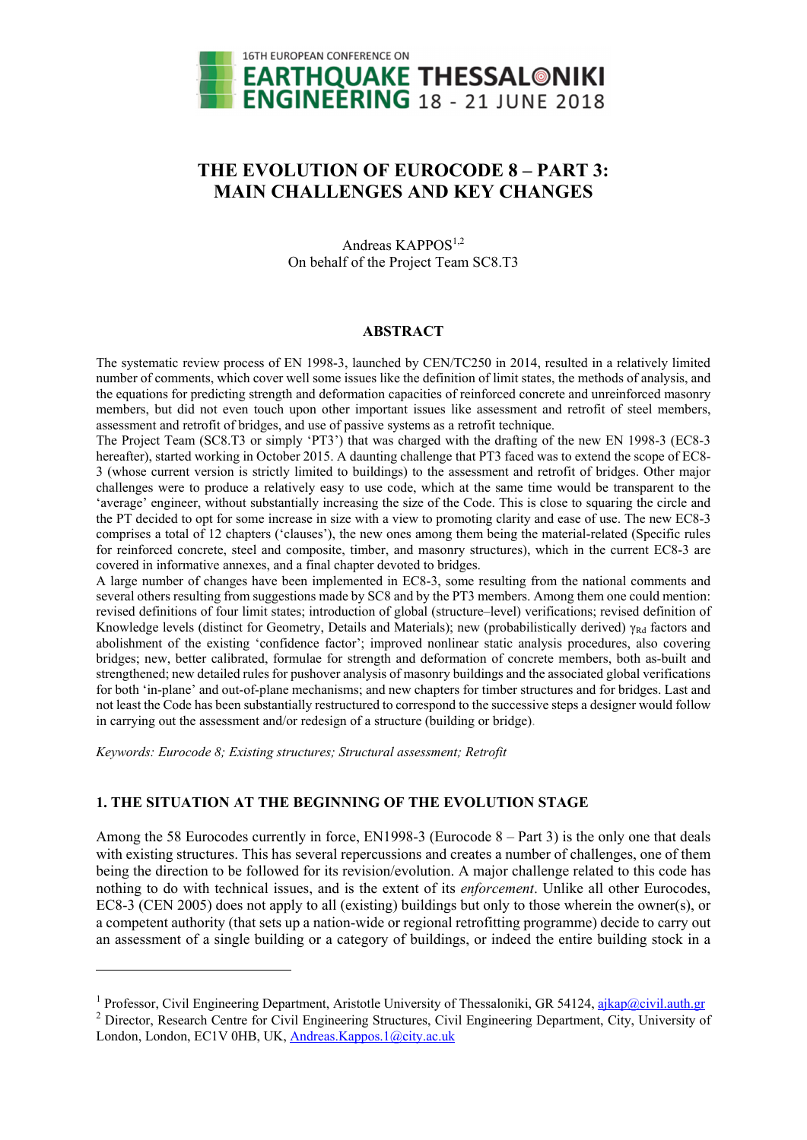

# **THE EVOLUTION OF EUROCODE 8 – PART 3: MAIN CHALLENGES AND KEY CHANGES**

Andreas KAPPOS<sup>1,2</sup> On behalf of the Project Team SC8.T3

#### **ABSTRACT**

The systematic review process of EN 1998-3, launched by CEN/TC250 in 2014, resulted in a relatively limited number of comments, which cover well some issues like the definition of limit states, the methods of analysis, and the equations for predicting strength and deformation capacities of reinforced concrete and unreinforced masonry members, but did not even touch upon other important issues like assessment and retrofit of steel members, assessment and retrofit of bridges, and use of passive systems as a retrofit technique.

The Project Team (SC8.T3 or simply 'PT3') that was charged with the drafting of the new EN 1998-3 (EC8-3 hereafter), started working in October 2015. A daunting challenge that PT3 faced was to extend the scope of EC8-3 (whose current version is strictly limited to buildings) to the assessment and retrofit of bridges. Other major challenges were to produce a relatively easy to use code, which at the same time would be transparent to the 'average' engineer, without substantially increasing the size of the Code. This is close to squaring the circle and the PT decided to opt for some increase in size with a view to promoting clarity and ease of use. The new EC8-3 comprises a total of 12 chapters ('clauses'), the new ones among them being the material-related (Specific rules for reinforced concrete, steel and composite, timber, and masonry structures), which in the current EC8-3 are covered in informative annexes, and a final chapter devoted to bridges.

A large number of changes have been implemented in EC8-3, some resulting from the national comments and several others resulting from suggestions made by SC8 and by the PT3 members. Among them one could mention: revised definitions of four limit states; introduction of global (structure–level) verifications; revised definition of Knowledge levels (distinct for Geometry, Details and Materials); new (probabilistically derived)  $\gamma_{\text{Rd}}$  factors and abolishment of the existing 'confidence factor'; improved nonlinear static analysis procedures, also covering bridges; new, better calibrated, formulae for strength and deformation of concrete members, both as-built and strengthened; new detailed rules for pushover analysis of masonry buildings and the associated global verifications for both 'in-plane' and out-of-plane mechanisms; and new chapters for timber structures and for bridges. Last and not least the Code has been substantially restructured to correspond to the successive steps a designer would follow in carrying out the assessment and/or redesign of a structure (building or bridge).

*Keywords: Eurocode 8; Existing structures; Structural assessment; Retrofit* 

1

# **1. THE SITUATION AT THE BEGINNING OF THE EVOLUTION STAGE**

Among the 58 Eurocodes currently in force, EN1998-3 (Eurocode 8 – Part 3) is the only one that deals with existing structures. This has several repercussions and creates a number of challenges, one of them being the direction to be followed for its revision/evolution. A major challenge related to this code has nothing to do with technical issues, and is the extent of its *enforcement*. Unlike all other Eurocodes, EC8-3 (CEN 2005) does not apply to all (existing) buildings but only to those wherein the owner(s), or a competent authority (that sets up a nation-wide or regional retrofitting programme) decide to carry out an assessment of a single building or a category of buildings, or indeed the entire building stock in a

<sup>&</sup>lt;sup>1</sup> Professor, Civil Engineering Department, Aristotle University of Thessaloniki, GR 54124, <u>ajkap@civil.auth.gr</u><br><sup>2</sup> Director, Research Centre for Civil Engineering Structures, Civil Engineering Department, City, Univers

<sup>&</sup>lt;sup>2</sup> Director, Research Centre for Civil Engineering Structures, Civil Engineering Department, City, University of London, London, EC1V 0HB, UK, Andreas.Kappos.1@city.ac.uk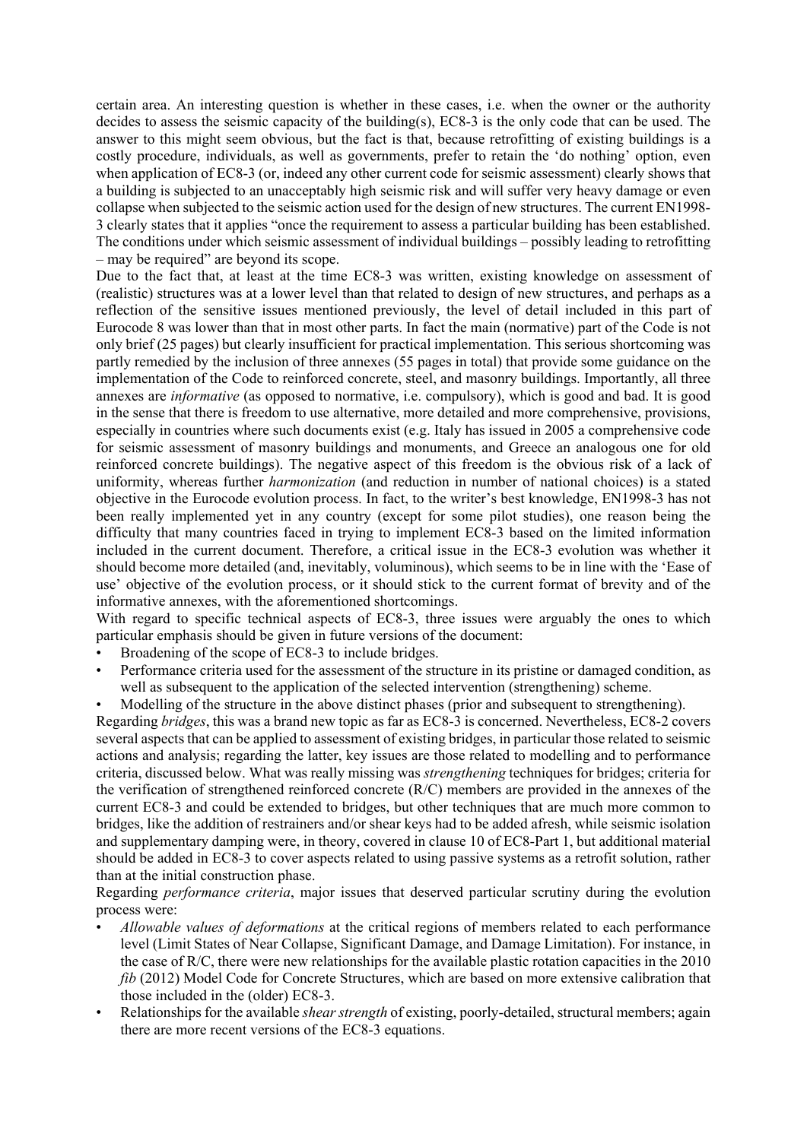certain area. An interesting question is whether in these cases, i.e. when the owner or the authority decides to assess the seismic capacity of the building(s), EC8-3 is the only code that can be used. The answer to this might seem obvious, but the fact is that, because retrofitting of existing buildings is a costly procedure, individuals, as well as governments, prefer to retain the 'do nothing' option, even when application of EC8-3 (or, indeed any other current code for seismic assessment) clearly shows that a building is subjected to an unacceptably high seismic risk and will suffer very heavy damage or even collapse when subjected to the seismic action used for the design of new structures. The current EN1998- 3 clearly states that it applies "once the requirement to assess a particular building has been established. The conditions under which seismic assessment of individual buildings – possibly leading to retrofitting – may be required" are beyond its scope.

Due to the fact that, at least at the time EC8-3 was written, existing knowledge on assessment of (realistic) structures was at a lower level than that related to design of new structures, and perhaps as a reflection of the sensitive issues mentioned previously, the level of detail included in this part of Eurocode 8 was lower than that in most other parts. In fact the main (normative) part of the Code is not only brief (25 pages) but clearly insufficient for practical implementation. This serious shortcoming was partly remedied by the inclusion of three annexes (55 pages in total) that provide some guidance on the implementation of the Code to reinforced concrete, steel, and masonry buildings. Importantly, all three annexes are *informative* (as opposed to normative, i.e. compulsory), which is good and bad. It is good in the sense that there is freedom to use alternative, more detailed and more comprehensive, provisions, especially in countries where such documents exist (e.g. Italy has issued in 2005 a comprehensive code for seismic assessment of masonry buildings and monuments, and Greece an analogous one for old reinforced concrete buildings). The negative aspect of this freedom is the obvious risk of a lack of uniformity, whereas further *harmonization* (and reduction in number of national choices) is a stated objective in the Eurocode evolution process. In fact, to the writer's best knowledge, EN1998-3 has not been really implemented yet in any country (except for some pilot studies), one reason being the difficulty that many countries faced in trying to implement EC8-3 based on the limited information included in the current document. Therefore, a critical issue in the EC8-3 evolution was whether it should become more detailed (and, inevitably, voluminous), which seems to be in line with the 'Ease of use' objective of the evolution process, or it should stick to the current format of brevity and of the informative annexes, with the aforementioned shortcomings.

With regard to specific technical aspects of EC8-3, three issues were arguably the ones to which particular emphasis should be given in future versions of the document:

Broadening of the scope of EC8-3 to include bridges.

than at the initial construction phase.

• Performance criteria used for the assessment of the structure in its pristine or damaged condition, as well as subsequent to the application of the selected intervention (strengthening) scheme.

• Modelling of the structure in the above distinct phases (prior and subsequent to strengthening). Regarding *bridges*, this was a brand new topic as far as EC8-3 is concerned. Nevertheless, EC8-2 covers several aspects that can be applied to assessment of existing bridges, in particular those related to seismic actions and analysis; regarding the latter, key issues are those related to modelling and to performance criteria, discussed below. What was really missing was *strengthening* techniques for bridges; criteria for the verification of strengthened reinforced concrete (R/C) members are provided in the annexes of the current EC8-3 and could be extended to bridges, but other techniques that are much more common to bridges, like the addition of restrainers and/or shear keys had to be added afresh, while seismic isolation and supplementary damping were, in theory, covered in clause 10 of EC8-Part 1, but additional material should be added in EC8-3 to cover aspects related to using passive systems as a retrofit solution, rather

Regarding *performance criteria*, major issues that deserved particular scrutiny during the evolution process were:

- *Allowable values of deformations* at the critical regions of members related to each performance level (Limit States of Near Collapse, Significant Damage, and Damage Limitation). For instance, in the case of R/C, there were new relationships for the available plastic rotation capacities in the 2010 *fib* (2012) Model Code for Concrete Structures, which are based on more extensive calibration that those included in the (older) EC8-3.
- Relationships for the available *shear strength* of existing, poorly-detailed, structural members; again there are more recent versions of the EC8-3 equations.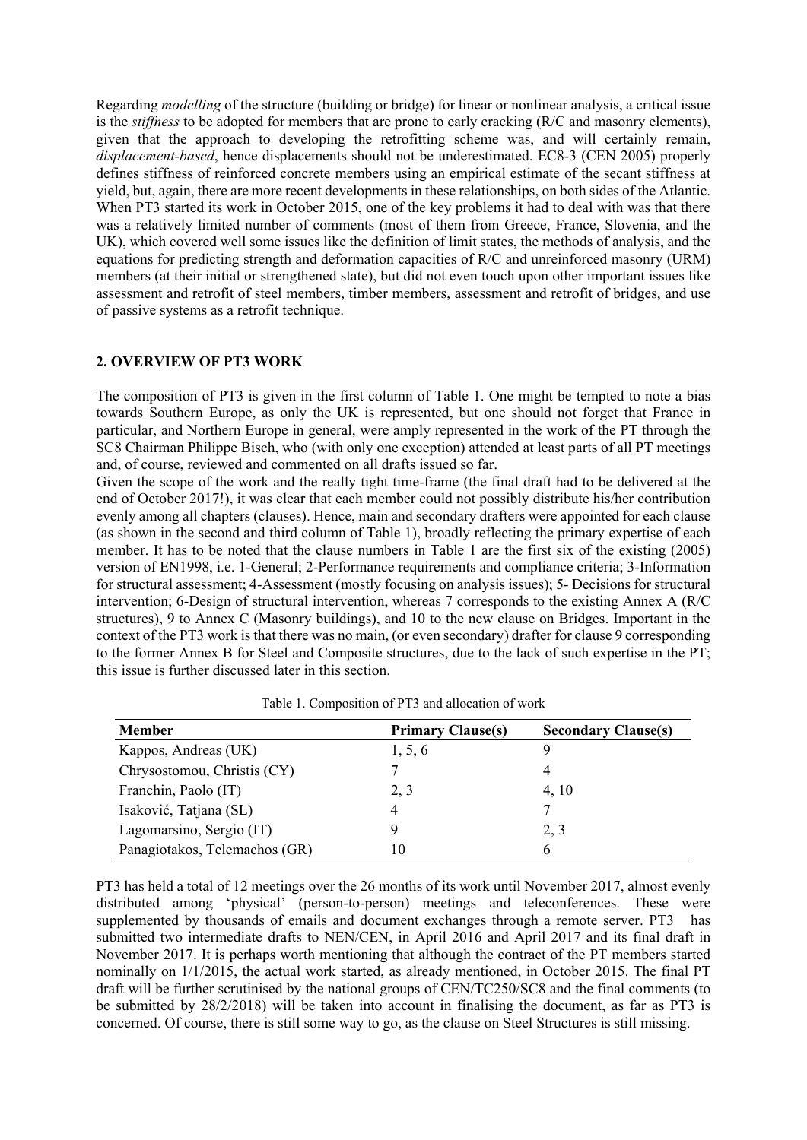Regarding *modelling* of the structure (building or bridge) for linear or nonlinear analysis, a critical issue is the *stiffness* to be adopted for members that are prone to early cracking (R/C and masonry elements), given that the approach to developing the retrofitting scheme was, and will certainly remain, *displacement-based*, hence displacements should not be underestimated. EC8-3 (CEN 2005) properly defines stiffness of reinforced concrete members using an empirical estimate of the secant stiffness at yield, but, again, there are more recent developments in these relationships, on both sides of the Atlantic. When PT3 started its work in October 2015, one of the key problems it had to deal with was that there was a relatively limited number of comments (most of them from Greece, France, Slovenia, and the UK), which covered well some issues like the definition of limit states, the methods of analysis, and the equations for predicting strength and deformation capacities of R/C and unreinforced masonry (URM) members (at their initial or strengthened state), but did not even touch upon other important issues like assessment and retrofit of steel members, timber members, assessment and retrofit of bridges, and use of passive systems as a retrofit technique.

# **2. OVERVIEW OF PT3 WORK**

The composition of PT3 is given in the first column of Table 1. One might be tempted to note a bias towards Southern Europe, as only the UK is represented, but one should not forget that France in particular, and Northern Europe in general, were amply represented in the work of the PT through the SC8 Chairman Philippe Bisch, who (with only one exception) attended at least parts of all PT meetings and, of course, reviewed and commented on all drafts issued so far.

Given the scope of the work and the really tight time-frame (the final draft had to be delivered at the end of October 2017!), it was clear that each member could not possibly distribute his/her contribution evenly among all chapters (clauses). Hence, main and secondary drafters were appointed for each clause (as shown in the second and third column of Table 1), broadly reflecting the primary expertise of each member. It has to be noted that the clause numbers in Table 1 are the first six of the existing (2005) version of EN1998, i.e. 1-General; 2-Performance requirements and compliance criteria; 3-Information for structural assessment; 4-Assessment (mostly focusing on analysis issues); 5- Decisions for structural intervention; 6-Design of structural intervention, whereas 7 corresponds to the existing Annex A (R/C structures), 9 to Annex C (Masonry buildings), and 10 to the new clause on Bridges. Important in the context of the PT3 work is that there was no main, (or even secondary) drafter for clause 9 corresponding to the former Annex B for Steel and Composite structures, due to the lack of such expertise in the PT; this issue is further discussed later in this section.

| <b>Member</b>                 | <b>Primary Clause(s)</b> | <b>Secondary Clause(s)</b> |
|-------------------------------|--------------------------|----------------------------|
| Kappos, Andreas (UK)          | 1, 5, 6                  | Q,                         |
| Chrysostomou, Christis (CY)   |                          | 4                          |
| Franchin, Paolo (IT)          | 2, 3                     | 4, 10                      |
| Isaković, Tatjana (SL)        | 4                        |                            |
| Lagomarsino, Sergio (IT)      | 9                        | 2, 3                       |
| Panagiotakos, Telemachos (GR) | 10                       | 6                          |

Table 1. Composition of PT3 and allocation of work

PT3 has held a total of 12 meetings over the 26 months of its work until November 2017, almost evenly distributed among 'physical' (person-to-person) meetings and teleconferences. These were supplemented by thousands of emails and document exchanges through a remote server. PT3 has submitted two intermediate drafts to NEN/CEN, in April 2016 and April 2017 and its final draft in November 2017. It is perhaps worth mentioning that although the contract of the PT members started nominally on 1/1/2015, the actual work started, as already mentioned, in October 2015. The final PT draft will be further scrutinised by the national groups of CEN/TC250/SC8 and the final comments (to be submitted by 28/2/2018) will be taken into account in finalising the document, as far as PT3 is concerned. Of course, there is still some way to go, as the clause on Steel Structures is still missing.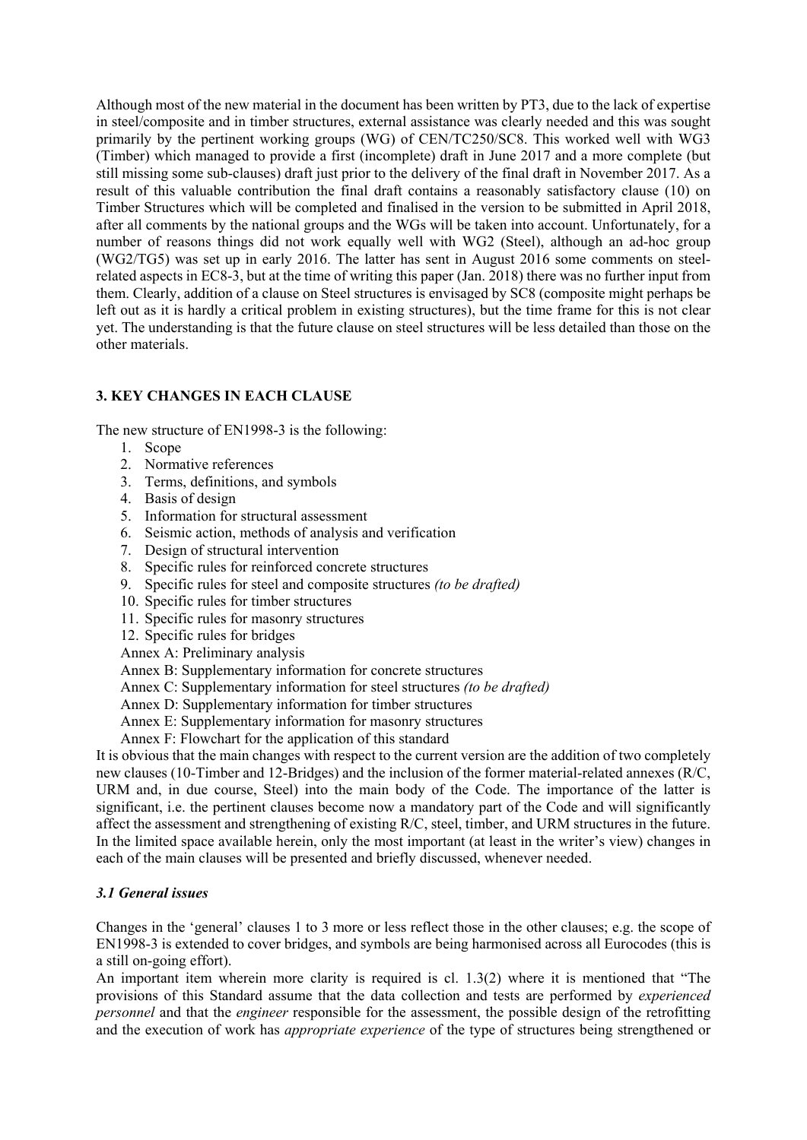Although most of the new material in the document has been written by PT3, due to the lack of expertise in steel/composite and in timber structures, external assistance was clearly needed and this was sought primarily by the pertinent working groups (WG) of CEN/TC250/SC8. This worked well with WG3 (Timber) which managed to provide a first (incomplete) draft in June 2017 and a more complete (but still missing some sub-clauses) draft just prior to the delivery of the final draft in November 2017. As a result of this valuable contribution the final draft contains a reasonably satisfactory clause (10) on Timber Structures which will be completed and finalised in the version to be submitted in April 2018, after all comments by the national groups and the WGs will be taken into account. Unfortunately, for a number of reasons things did not work equally well with WG2 (Steel), although an ad-hoc group (WG2/TG5) was set up in early 2016. The latter has sent in August 2016 some comments on steelrelated aspects in EC8-3, but at the time of writing this paper (Jan. 2018) there was no further input from them. Clearly, addition of a clause on Steel structures is envisaged by SC8 (composite might perhaps be left out as it is hardly a critical problem in existing structures), but the time frame for this is not clear yet. The understanding is that the future clause on steel structures will be less detailed than those on the other materials.

# **3. KEY CHANGES IN EACH CLAUSE**

The new structure of EN1998-3 is the following:

- 1. Scope
- 2. Normative references
- 3. Terms, definitions, and symbols
- 4. Basis of design
- 5. Information for structural assessment
- 6. Seismic action, methods of analysis and verification
- 7. Design of structural intervention
- 8. Specific rules for reinforced concrete structures
- 9. Specific rules for steel and composite structures *(to be drafted)*
- 10. Specific rules for timber structures
- 11. Specific rules for masonry structures
- 12. Specific rules for bridges

Annex A: Preliminary analysis

Annex B: Supplementary information for concrete structures

- Annex C: Supplementary information for steel structures *(to be drafted)*
- Annex D: Supplementary information for timber structures
- Annex E: Supplementary information for masonry structures
- Annex F: Flowchart for the application of this standard

It is obvious that the main changes with respect to the current version are the addition of two completely new clauses (10-Timber and 12-Bridges) and the inclusion of the former material-related annexes (R/C, URM and, in due course, Steel) into the main body of the Code. The importance of the latter is significant, i.e. the pertinent clauses become now a mandatory part of the Code and will significantly affect the assessment and strengthening of existing R/C, steel, timber, and URM structures in the future. In the limited space available herein, only the most important (at least in the writer's view) changes in each of the main clauses will be presented and briefly discussed, whenever needed.

# *3.1 General issues*

Changes in the 'general' clauses 1 to 3 more or less reflect those in the other clauses; e.g. the scope of EN1998-3 is extended to cover bridges, and symbols are being harmonised across all Eurocodes (this is a still on-going effort).

An important item wherein more clarity is required is cl. 1.3(2) where it is mentioned that "The provisions of this Standard assume that the data collection and tests are performed by *experienced personnel* and that the *engineer* responsible for the assessment, the possible design of the retrofitting and the execution of work has *appropriate experience* of the type of structures being strengthened or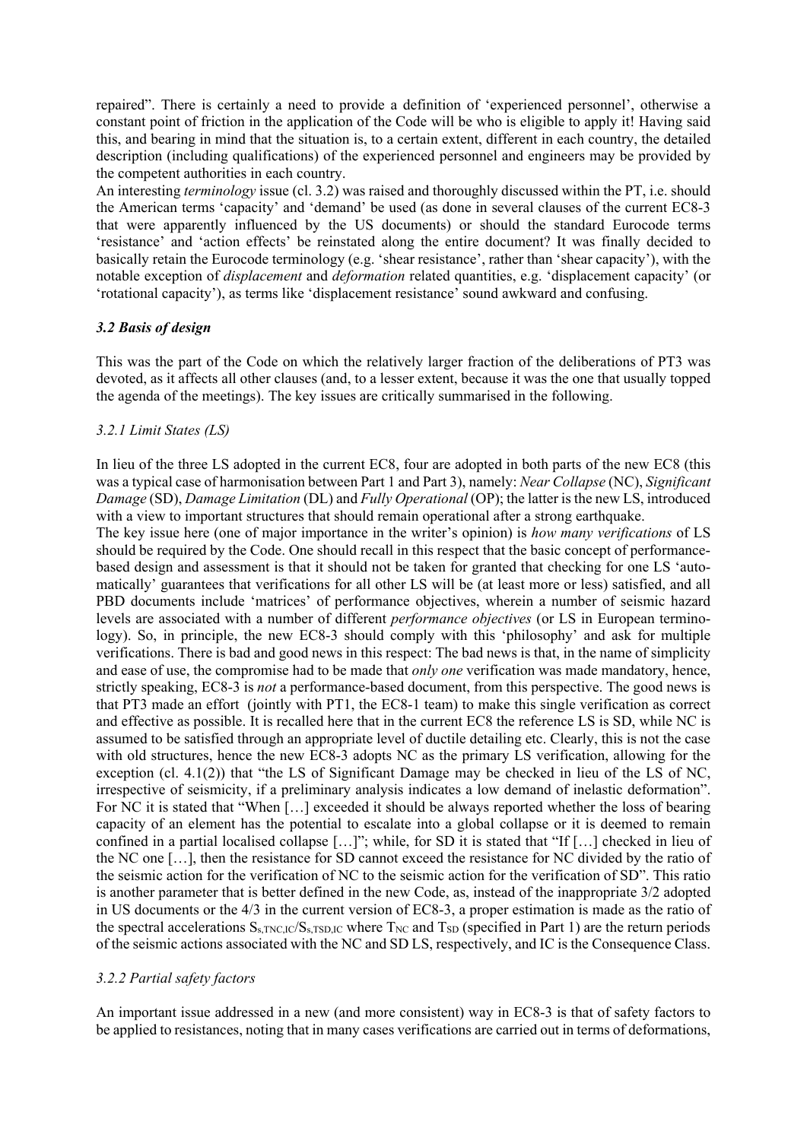repaired". There is certainly a need to provide a definition of 'experienced personnel', otherwise a constant point of friction in the application of the Code will be who is eligible to apply it! Having said this, and bearing in mind that the situation is, to a certain extent, different in each country, the detailed description (including qualifications) of the experienced personnel and engineers may be provided by the competent authorities in each country.

An interesting *terminology* issue (cl. 3.2) was raised and thoroughly discussed within the PT, i.e. should the American terms 'capacity' and 'demand' be used (as done in several clauses of the current EC8-3 that were apparently influenced by the US documents) or should the standard Eurocode terms 'resistance' and 'action effects' be reinstated along the entire document? It was finally decided to basically retain the Eurocode terminology (e.g. 'shear resistance', rather than 'shear capacity'), with the notable exception of *displacement* and *deformation* related quantities, e.g. 'displacement capacity' (or 'rotational capacity'), as terms like 'displacement resistance' sound awkward and confusing.

# *3.2 Basis of design*

This was the part of the Code on which the relatively larger fraction of the deliberations of PT3 was devoted, as it affects all other clauses (and, to a lesser extent, because it was the one that usually topped the agenda of the meetings). The key issues are critically summarised in the following.

# *3.2.1 Limit States (LS)*

In lieu of the three LS adopted in the current EC8, four are adopted in both parts of the new EC8 (this was a typical case of harmonisation between Part 1 and Part 3), namely: *Near Collapse* (NC), *Significant Damage* (SD), *Damage Limitation* (DL) and *Fully Operational* (OP); the latter is the new LS, introduced with a view to important structures that should remain operational after a strong earthquake.

The key issue here (one of major importance in the writer's opinion) is *how many verifications* of LS should be required by the Code. One should recall in this respect that the basic concept of performancebased design and assessment is that it should not be taken for granted that checking for one LS 'automatically' guarantees that verifications for all other LS will be (at least more or less) satisfied, and all PBD documents include 'matrices' of performance objectives, wherein a number of seismic hazard levels are associated with a number of different *performance objectives* (or LS in European terminology). So, in principle, the new EC8-3 should comply with this 'philosophy' and ask for multiple verifications. There is bad and good news in this respect: The bad news is that, in the name of simplicity and ease of use, the compromise had to be made that *only one* verification was made mandatory, hence, strictly speaking, EC8-3 is *not* a performance-based document, from this perspective. The good news is that PT3 made an effort (jointly with PT1, the EC8-1 team) to make this single verification as correct and effective as possible. It is recalled here that in the current EC8 the reference LS is SD, while NC is assumed to be satisfied through an appropriate level of ductile detailing etc. Clearly, this is not the case with old structures, hence the new EC8-3 adopts NC as the primary LS verification, allowing for the exception (cl. 4.1(2)) that "the LS of Significant Damage may be checked in lieu of the LS of NC, irrespective of seismicity, if a preliminary analysis indicates a low demand of inelastic deformation". For NC it is stated that "When […] exceeded it should be always reported whether the loss of bearing capacity of an element has the potential to escalate into a global collapse or it is deemed to remain confined in a partial localised collapse […]"; while, for SD it is stated that "If […] checked in lieu of the NC one […], then the resistance for SD cannot exceed the resistance for NC divided by the ratio of the seismic action for the verification of NC to the seismic action for the verification of SD". This ratio is another parameter that is better defined in the new Code, as, instead of the inappropriate 3/2 adopted in US documents or the 4/3 in the current version of EC8-3, a proper estimation is made as the ratio of the spectral accelerations  $S_{\text{S-TNC,IC}}/S_{\text{S-TSD,IC}}$  where  $T_{\text{NC}}$  and  $T_{\text{SD}}$  (specified in Part 1) are the return periods of the seismic actions associated with the NC and SD LS, respectively, and IC is the Consequence Class.

# *3.2.2 Partial safety factors*

An important issue addressed in a new (and more consistent) way in EC8-3 is that of safety factors to be applied to resistances, noting that in many cases verifications are carried out in terms of deformations,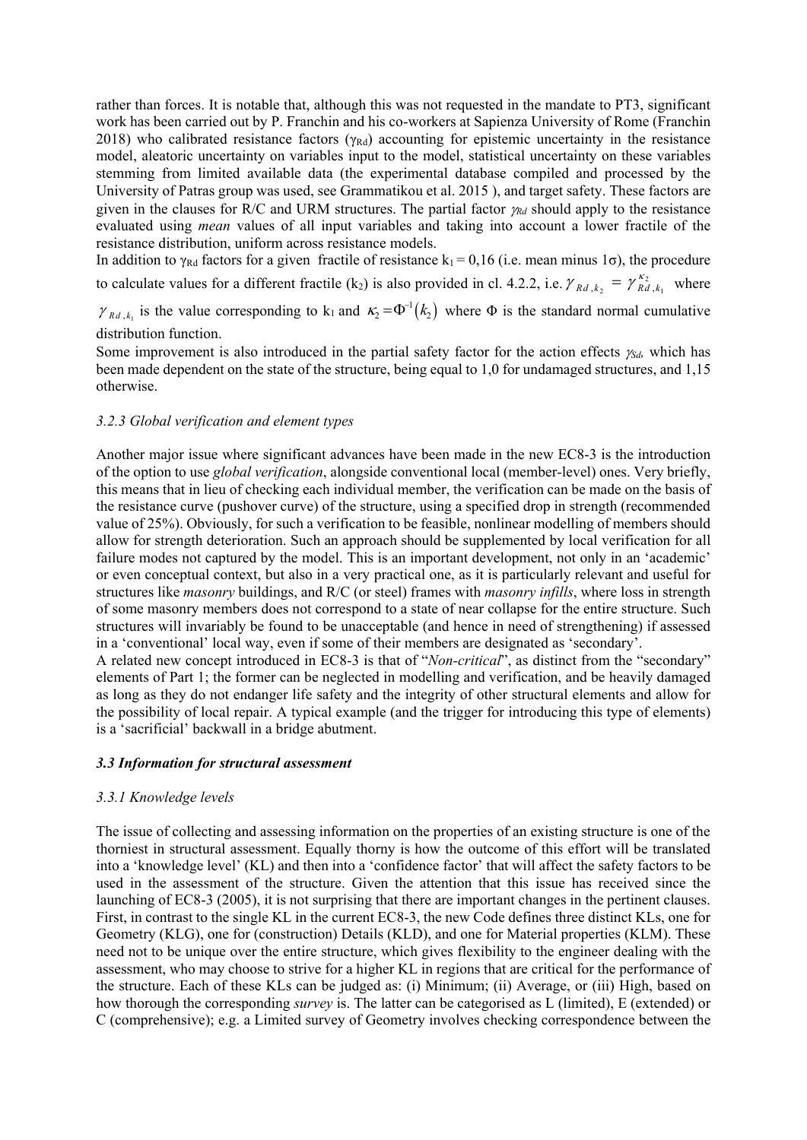rather than forces. It is notable that, although this was not requested in the mandate to PT3, significant work has been carried out by P. Franchin and his co-workers at Sapienza University of Rome (Franchin 2018) who calibrated resistance factors ( $\gamma_{\text{Rd}}$ ) accounting for epistemic uncertainty in the resistance model, aleatoric uncertainty on variables input to the model, statistical uncertainty on these variables stemming from limited available data (the experimental database compiled and processed by the University of Patras group was used, see Grammatikou et al. 2015 ), and target safety. These factors are given in the clauses for R/C and URM structures. The partial factor  $\gamma_{Rd}$  should apply to the resistance evaluated using *mean* values of all input variables and taking into account a lower fractile of the resistance distribution, uniform across resistance models.

In addition to  $\gamma_{\text{Rd}}$  factors for a given fractile of resistance k<sub>1</sub> = 0,16 (i.e. mean minus 1 $\sigma$ ), the procedure to calculate values for a different fractile (k<sub>2</sub>) is also provided in cl. 4.2.2, i.e.  $\gamma_{Rd, k_2} = \gamma_{Rd, k_1}^{\kappa_2}$  where

 $\gamma_{Rd, k_1}$  is the value corresponding to k<sub>1</sub> and  $\kappa_2 = \Phi^{-1}(k_2)$  where  $\Phi$  is the standard normal cumulative distribution function.

Some improvement is also introduced in the partial safety factor for the action effects  $\chi_{d}$ , which has been made dependent on the state of the structure, being equal to 1,0 for undamaged structures, and 1,15 otherwise.

#### *3.2.3 Global verification and element types*

Another major issue where significant advances have been made in the new EC8-3 is the introduction of the option to use *global verification*, alongside conventional local (member-level) ones. Very briefly, this means that in lieu of checking each individual member, the verification can be made on the basis of the resistance curve (pushover curve) of the structure, using a specified drop in strength (recommended value of 25%). Obviously, for such a verification to be feasible, nonlinear modelling of members should allow for strength deterioration. Such an approach should be supplemented by local verification for all failure modes not captured by the model. This is an important development, not only in an 'academic' or even conceptual context, but also in a very practical one, as it is particularly relevant and useful for structures like *masonry* buildings, and R/C (or steel) frames with *masonry infills*, where loss in strength of some masonry members does not correspond to a state of near collapse for the entire structure. Such structures will invariably be found to be unacceptable (and hence in need of strengthening) if assessed in a 'conventional' local way, even if some of their members are designated as 'secondary'.

A related new concept introduced in EC8-3 is that of "*Non-critical*", as distinct from the "secondary" elements of Part 1; the former can be neglected in modelling and verification, and be heavily damaged as long as they do not endanger life safety and the integrity of other structural elements and allow for the possibility of local repair. A typical example (and the trigger for introducing this type of elements) is a 'sacrificial' backwall in a bridge abutment.

#### *3.3 Information for structural assessment*

#### *3.3.1 Knowledge levels*

The issue of collecting and assessing information on the properties of an existing structure is one of the thorniest in structural assessment. Equally thorny is how the outcome of this effort will be translated into a 'knowledge level' (KL) and then into a 'confidence factor' that will affect the safety factors to be used in the assessment of the structure. Given the attention that this issue has received since the launching of EC8-3 (2005), it is not surprising that there are important changes in the pertinent clauses. First, in contrast to the single KL in the current EC8-3, the new Code defines three distinct KLs, one for Geometry (KLG), one for (construction) Details (KLD), and one for Material properties (KLM). These need not to be unique over the entire structure, which gives flexibility to the engineer dealing with the assessment, who may choose to strive for a higher KL in regions that are critical for the performance of the structure. Each of these KLs can be judged as: (i) Minimum; (ii) Average, or (iii) High, based on how thorough the corresponding *survey* is. The latter can be categorised as L (limited), E (extended) or C (comprehensive); e.g. a Limited survey of Geometry involves checking correspondence between the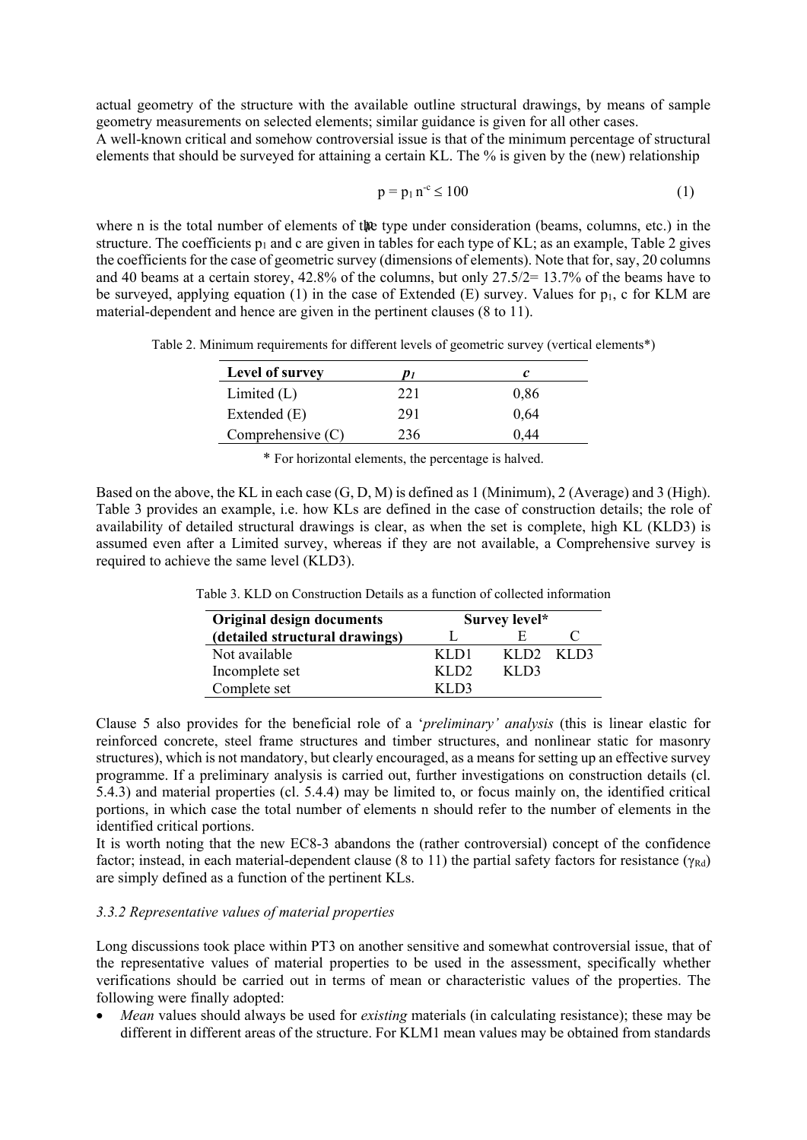actual geometry of the structure with the available outline structural drawings, by means of sample geometry measurements on selected elements; similar guidance is given for all other cases. A well-known critical and somehow controversial issue is that of the minimum percentage of structural elements that should be surveyed for attaining a certain KL. The % is given by the (new) relationship

$$
p = p_1 n^{-c} \le 100\tag{1}
$$

 where n is the total number of elements of the type under consideration (beams, columns, etc.) in the structure. The coefficients  $p_1$  and c are given in tables for each type of KL; as an example, Table 2 gives the coefficients for the case of geometric survey (dimensions of elements). Note that for, say, 20 columns and 40 beams at a certain storey, 42.8% of the columns, but only 27.5/2= 13.7% of the beams have to be surveyed, applying equation (1) in the case of Extended (E) survey. Values for  $p_1$ , c for KLM are material-dependent and hence are given in the pertinent clauses (8 to 11).

Table 2. Minimum requirements for different levels of geometric survey (vertical elements\*)

| Level of survey     | "   |      |
|---------------------|-----|------|
| Limited $(L)$       | 221 | 0.86 |
| Extended (E)        | 291 | 0,64 |
| Comprehensive $(C)$ | 236 | 0.44 |

\* For horizontal elements, the percentage is halved.

Based on the above, the KL in each case (G, D, M) is defined as 1 (Minimum), 2 (Average) and 3 (High). Table 3 provides an example, i.e. how KLs are defined in the case of construction details; the role of availability of detailed structural drawings is clear, as when the set is complete, high KL (KLD3) is assumed even after a Limited survey, whereas if they are not available, a Comprehensive survey is required to achieve the same level (KLD3).

| <b>Original design documents</b> | Survey level* |                  |      |
|----------------------------------|---------------|------------------|------|
| (detailed structural drawings)   |               |                  |      |
| Not available                    | KL D1         | KLD <sub>2</sub> | KLD3 |
| Incomplete set                   | KLD2          | KLD3             |      |
| Complete set                     | 7 I D3        |                  |      |

Table 3. KLD on Construction Details as a function of collected information

Clause 5 also provides for the beneficial role of a '*preliminary' analysis* (this is linear elastic for reinforced concrete, steel frame structures and timber structures, and nonlinear static for masonry structures), which is not mandatory, but clearly encouraged, as a means for setting up an effective survey programme. If a preliminary analysis is carried out, further investigations on construction details (cl. 5.4.3) and material properties (cl. 5.4.4) may be limited to, or focus mainly on, the identified critical portions, in which case the total number of elements n should refer to the number of elements in the identified critical portions.

It is worth noting that the new EC8-3 abandons the (rather controversial) concept of the confidence factor; instead, in each material-dependent clause (8 to 11) the partial safety factors for resistance ( $\gamma_{\text{Rd}}$ ) are simply defined as a function of the pertinent KLs.

# *3.3.2 Representative values of material properties*

Long discussions took place within PT3 on another sensitive and somewhat controversial issue, that of the representative values of material properties to be used in the assessment, specifically whether verifications should be carried out in terms of mean or characteristic values of the properties. The following were finally adopted:

 *Mean* values should always be used for *existing* materials (in calculating resistance); these may be different in different areas of the structure. For KLM1 mean values may be obtained from standards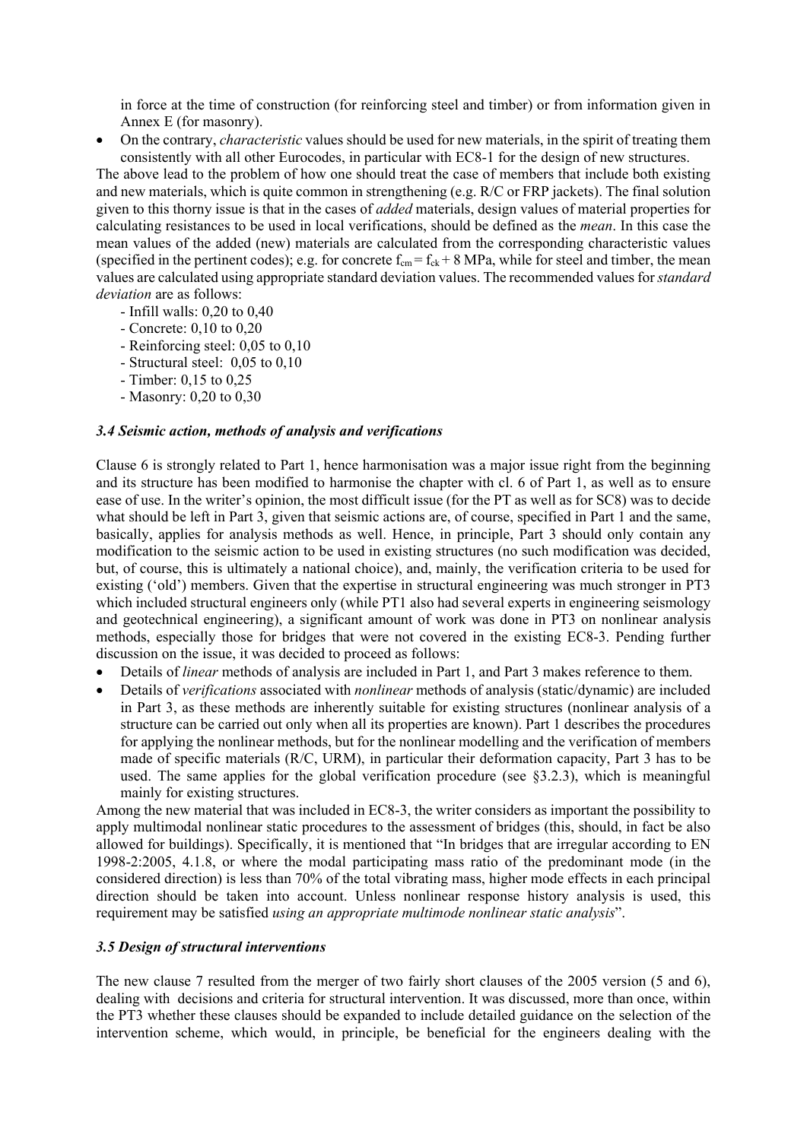in force at the time of construction (for reinforcing steel and timber) or from information given in Annex E (for masonry).

 On the contrary, *characteristic* values should be used for new materials, in the spirit of treating them consistently with all other Eurocodes, in particular with EC8-1 for the design of new structures.

The above lead to the problem of how one should treat the case of members that include both existing and new materials, which is quite common in strengthening (e.g. R/C or FRP jackets). The final solution given to this thorny issue is that in the cases of *added* materials, design values of material properties for calculating resistances to be used in local verifications, should be defined as the *mean*. In this case the mean values of the added (new) materials are calculated from the corresponding characteristic values (specified in the pertinent codes); e.g. for concrete  $f_{cm} = f_{ck} + 8$  MPa, while for steel and timber, the mean values are calculated using appropriate standard deviation values. The recommended values for *standard deviation* are as follows:

- Infill walls: 0,20 to 0,40
- Concrete: 0,10 to 0,20
- Reinforcing steel: 0,05 to 0,10
- Structural steel: 0,05 to 0,10
- Timber: 0,15 to 0,25
- Masonry: 0,20 to 0,30

#### *3.4 Seismic action, methods of analysis and verifications*

Clause 6 is strongly related to Part 1, hence harmonisation was a major issue right from the beginning and its structure has been modified to harmonise the chapter with cl. 6 of Part 1, as well as to ensure ease of use. In the writer's opinion, the most difficult issue (for the PT as well as for SC8) was to decide what should be left in Part 3, given that seismic actions are, of course, specified in Part 1 and the same, basically, applies for analysis methods as well. Hence, in principle, Part 3 should only contain any modification to the seismic action to be used in existing structures (no such modification was decided, but, of course, this is ultimately a national choice), and, mainly, the verification criteria to be used for existing ('old') members. Given that the expertise in structural engineering was much stronger in PT3 which included structural engineers only (while PT1 also had several experts in engineering seismology and geotechnical engineering), a significant amount of work was done in PT3 on nonlinear analysis methods, especially those for bridges that were not covered in the existing EC8-3. Pending further discussion on the issue, it was decided to proceed as follows:

- Details of *linear* methods of analysis are included in Part 1, and Part 3 makes reference to them.
- Details of *verifications* associated with *nonlinear* methods of analysis (static/dynamic) are included in Part 3, as these methods are inherently suitable for existing structures (nonlinear analysis of a structure can be carried out only when all its properties are known). Part 1 describes the procedures for applying the nonlinear methods, but for the nonlinear modelling and the verification of members made of specific materials (R/C, URM), in particular their deformation capacity, Part 3 has to be used. The same applies for the global verification procedure (see §3.2.3), which is meaningful mainly for existing structures.

Among the new material that was included in EC8-3, the writer considers as important the possibility to apply multimodal nonlinear static procedures to the assessment of bridges (this, should, in fact be also allowed for buildings). Specifically, it is mentioned that "In bridges that are irregular according to EN 1998-2:2005, 4.1.8, or where the modal participating mass ratio of the predominant mode (in the considered direction) is less than 70% of the total vibrating mass, higher mode effects in each principal direction should be taken into account. Unless nonlinear response history analysis is used, this requirement may be satisfied *using an appropriate multimode nonlinear static analysis*".

# *3.5 Design of structural interventions*

The new clause 7 resulted from the merger of two fairly short clauses of the 2005 version (5 and 6), dealing with decisions and criteria for structural intervention. It was discussed, more than once, within the PT3 whether these clauses should be expanded to include detailed guidance on the selection of the intervention scheme, which would, in principle, be beneficial for the engineers dealing with the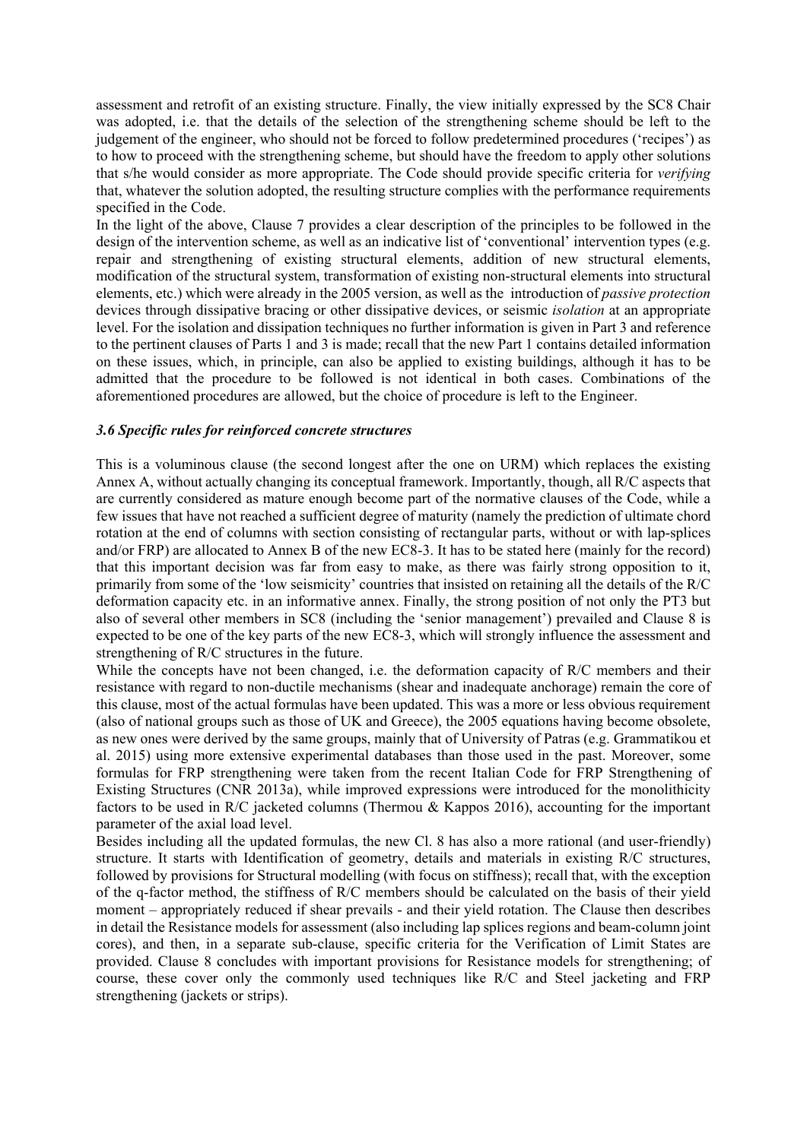assessment and retrofit of an existing structure. Finally, the view initially expressed by the SC8 Chair was adopted, i.e. that the details of the selection of the strengthening scheme should be left to the judgement of the engineer, who should not be forced to follow predetermined procedures ('recipes') as to how to proceed with the strengthening scheme, but should have the freedom to apply other solutions that s/he would consider as more appropriate. The Code should provide specific criteria for *verifying* that, whatever the solution adopted, the resulting structure complies with the performance requirements specified in the Code.

In the light of the above, Clause 7 provides a clear description of the principles to be followed in the design of the intervention scheme, as well as an indicative list of 'conventional' intervention types (e.g. repair and strengthening of existing structural elements, addition of new structural elements, modification of the structural system, transformation of existing non-structural elements into structural elements, etc.) which were already in the 2005 version, as well as the introduction of *passive protection* devices through dissipative bracing or other dissipative devices, or seismic *isolation* at an appropriate level. For the isolation and dissipation techniques no further information is given in Part 3 and reference to the pertinent clauses of Parts 1 and 3 is made; recall that the new Part 1 contains detailed information on these issues, which, in principle, can also be applied to existing buildings, although it has to be admitted that the procedure to be followed is not identical in both cases. Combinations of the aforementioned procedures are allowed, but the choice of procedure is left to the Engineer.

#### *3.6 Specific rules for reinforced concrete structures*

This is a voluminous clause (the second longest after the one on URM) which replaces the existing Annex A, without actually changing its conceptual framework. Importantly, though, all R/C aspects that are currently considered as mature enough become part of the normative clauses of the Code, while a few issues that have not reached a sufficient degree of maturity (namely the prediction of ultimate chord rotation at the end of columns with section consisting of rectangular parts, without or with lap-splices and/or FRP) are allocated to Annex B of the new EC8-3. It has to be stated here (mainly for the record) that this important decision was far from easy to make, as there was fairly strong opposition to it, primarily from some of the 'low seismicity' countries that insisted on retaining all the details of the R/C deformation capacity etc. in an informative annex. Finally, the strong position of not only the PT3 but also of several other members in SC8 (including the 'senior management') prevailed and Clause 8 is expected to be one of the key parts of the new EC8-3, which will strongly influence the assessment and strengthening of R/C structures in the future.

While the concepts have not been changed, i.e. the deformation capacity of R/C members and their resistance with regard to non-ductile mechanisms (shear and inadequate anchorage) remain the core of this clause, most of the actual formulas have been updated. This was a more or less obvious requirement (also of national groups such as those of UK and Greece), the 2005 equations having become obsolete, as new ones were derived by the same groups, mainly that of University of Patras (e.g. Grammatikou et al. 2015) using more extensive experimental databases than those used in the past. Moreover, some formulas for FRP strengthening were taken from the recent Italian Code for FRP Strengthening of Existing Structures (CNR 2013a), while improved expressions were introduced for the monolithicity factors to be used in R/C jacketed columns (Thermou & Kappos 2016), accounting for the important parameter of the axial load level.

Besides including all the updated formulas, the new Cl. 8 has also a more rational (and user-friendly) structure. It starts with Identification of geometry, details and materials in existing R/C structures, followed by provisions for Structural modelling (with focus on stiffness); recall that, with the exception of the q-factor method, the stiffness of R/C members should be calculated on the basis of their yield moment – appropriately reduced if shear prevails - and their yield rotation. The Clause then describes in detail the Resistance models for assessment (also including lap splices regions and beam-column joint cores), and then, in a separate sub-clause, specific criteria for the Verification of Limit States are provided. Clause 8 concludes with important provisions for Resistance models for strengthening; of course, these cover only the commonly used techniques like R/C and Steel jacketing and FRP strengthening (jackets or strips).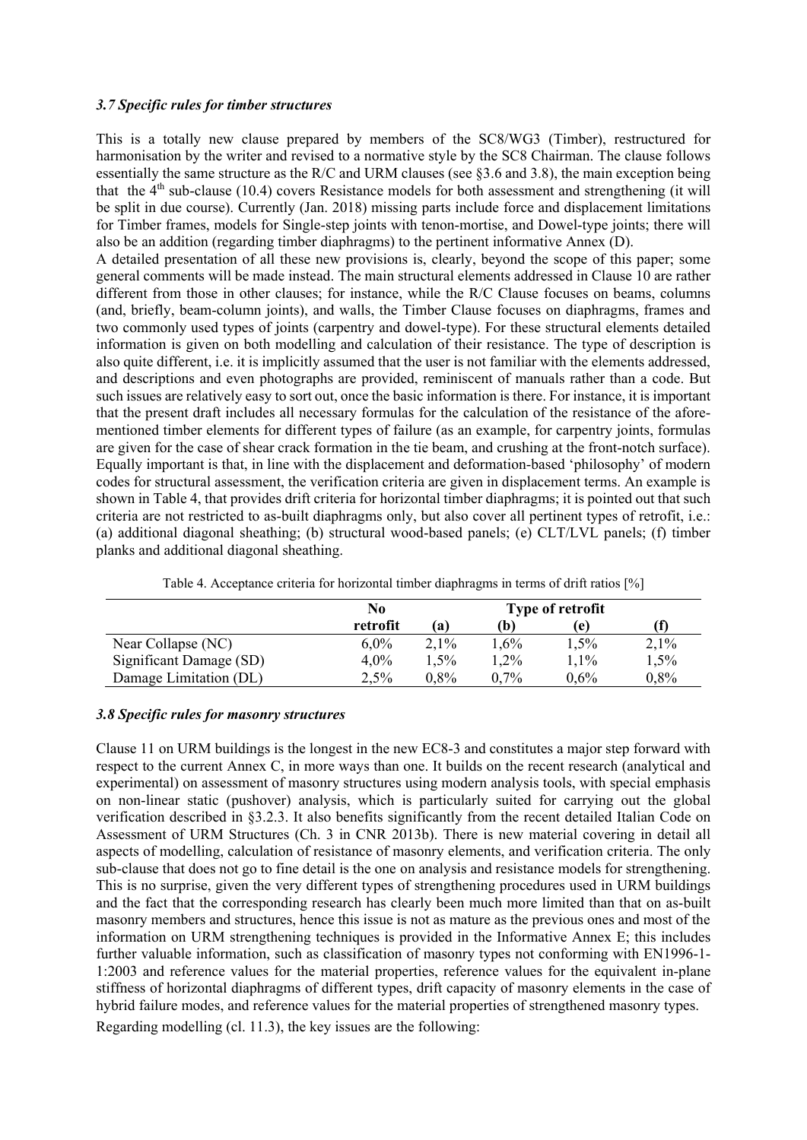### *3.7 Specific rules for timber structures*

This is a totally new clause prepared by members of the SC8/WG3 (Timber), restructured for harmonisation by the writer and revised to a normative style by the SC8 Chairman. The clause follows essentially the same structure as the R/C and URM clauses (see §3.6 and 3.8), the main exception being that the  $4<sup>th</sup>$  sub-clause (10.4) covers Resistance models for both assessment and strengthening (it will be split in due course). Currently (Jan. 2018) missing parts include force and displacement limitations for Timber frames, models for Single-step joints with tenon-mortise, and Dowel-type joints; there will also be an addition (regarding timber diaphragms) to the pertinent informative Annex (D).

A detailed presentation of all these new provisions is, clearly, beyond the scope of this paper; some general comments will be made instead. The main structural elements addressed in Clause 10 are rather different from those in other clauses; for instance, while the R/C Clause focuses on beams, columns (and, briefly, beam-column joints), and walls, the Timber Clause focuses on diaphragms, frames and two commonly used types of joints (carpentry and dowel-type). For these structural elements detailed information is given on both modelling and calculation of their resistance. The type of description is also quite different, i.e. it is implicitly assumed that the user is not familiar with the elements addressed, and descriptions and even photographs are provided, reminiscent of manuals rather than a code. But such issues are relatively easy to sort out, once the basic information is there. For instance, it is important that the present draft includes all necessary formulas for the calculation of the resistance of the aforementioned timber elements for different types of failure (as an example, for carpentry joints, formulas are given for the case of shear crack formation in the tie beam, and crushing at the front-notch surface). Equally important is that, in line with the displacement and deformation-based 'philosophy' of modern codes for structural assessment, the verification criteria are given in displacement terms. An example is shown in Table 4, that provides drift criteria for horizontal timber diaphragms; it is pointed out that such criteria are not restricted to as-built diaphragms only, but also cover all pertinent types of retrofit, i.e.: (a) additional diagonal sheathing; (b) structural wood-based panels; (e) CLT/LVL panels; (f) timber planks and additional diagonal sheathing.

|                         | No       |         | <b>Type of retrofit</b> |         |      |
|-------------------------|----------|---------|-------------------------|---------|------|
|                         | retrofit | (a)     | (b`                     | l e l   |      |
| Near Collapse (NC)      | $6.0\%$  | $2.1\%$ | 1.6%                    | 1.5%    | 2,1% |
| Significant Damage (SD) | $4.0\%$  | 1.5%    | 1,2%                    | 1.1%    | 1,5% |
| Damage Limitation (DL)  | $2.5\%$  | $0.8\%$ | $0.7\%$                 | $0.6\%$ | 0,8% |

Table 4. Acceptance criteria for horizontal timber diaphragms in terms of drift ratios [%]

#### *3.8 Specific rules for masonry structures*

Clause 11 on URM buildings is the longest in the new EC8-3 and constitutes a major step forward with respect to the current Annex C, in more ways than one. It builds on the recent research (analytical and experimental) on assessment of masonry structures using modern analysis tools, with special emphasis on non-linear static (pushover) analysis, which is particularly suited for carrying out the global verification described in §3.2.3. It also benefits significantly from the recent detailed Italian Code on Assessment of URM Structures (Ch. 3 in CNR 2013b). There is new material covering in detail all aspects of modelling, calculation of resistance of masonry elements, and verification criteria. The only sub-clause that does not go to fine detail is the one on analysis and resistance models for strengthening. This is no surprise, given the very different types of strengthening procedures used in URM buildings and the fact that the corresponding research has clearly been much more limited than that on as-built masonry members and structures, hence this issue is not as mature as the previous ones and most of the information on URM strengthening techniques is provided in the Informative Annex E; this includes further valuable information, such as classification of masonry types not conforming with EN1996-1- 1:2003 and reference values for the material properties, reference values for the equivalent in-plane stiffness of horizontal diaphragms of different types, drift capacity of masonry elements in the case of hybrid failure modes, and reference values for the material properties of strengthened masonry types.

Regarding modelling (cl. 11.3), the key issues are the following: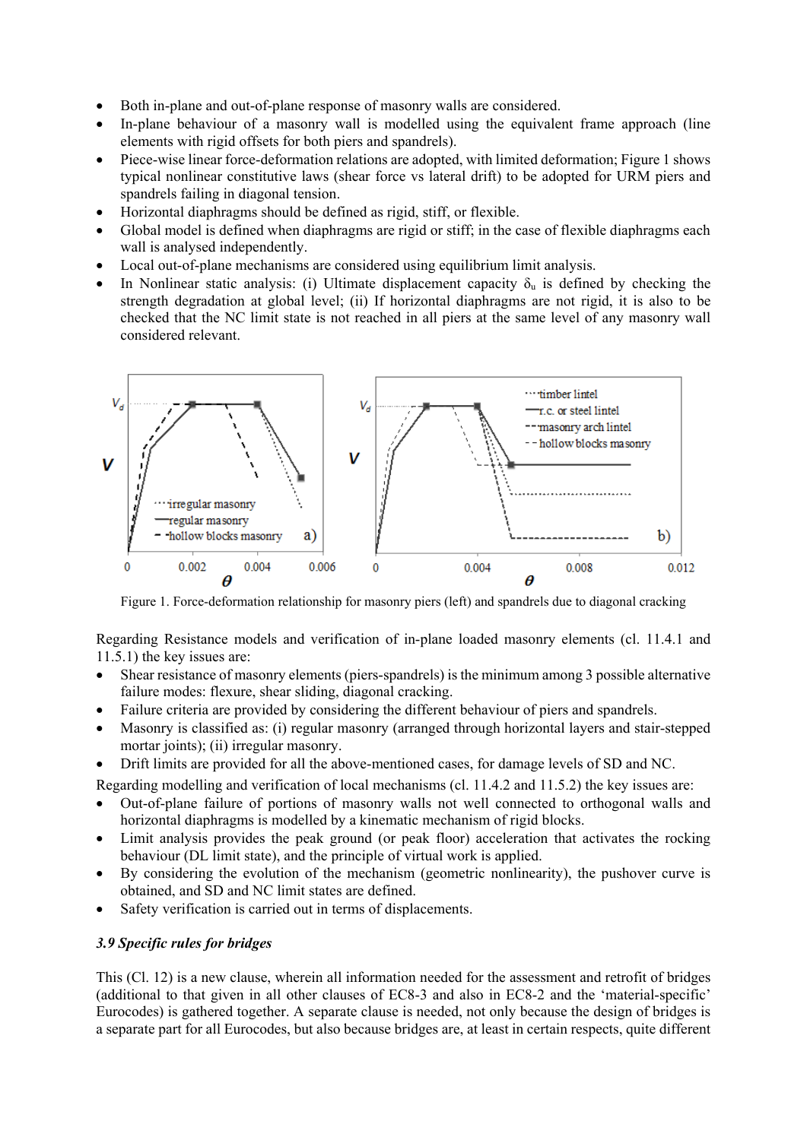- Both in-plane and out-of-plane response of masonry walls are considered.
- In-plane behaviour of a masonry wall is modelled using the equivalent frame approach (line elements with rigid offsets for both piers and spandrels).
- Piece-wise linear force-deformation relations are adopted, with limited deformation; Figure 1 shows typical nonlinear constitutive laws (shear force vs lateral drift) to be adopted for URM piers and spandrels failing in diagonal tension.
- Horizontal diaphragms should be defined as rigid, stiff, or flexible.
- Global model is defined when diaphragms are rigid or stiff; in the case of flexible diaphragms each wall is analysed independently.
- Local out-of-plane mechanisms are considered using equilibrium limit analysis.
- In Nonlinear static analysis: (i) Ultimate displacement capacity  $\delta_u$  is defined by checking the strength degradation at global level; (ii) If horizontal diaphragms are not rigid, it is also to be checked that the NC limit state is not reached in all piers at the same level of any masonry wall considered relevant.



Figure 1. Force-deformation relationship for masonry piers (left) and spandrels due to diagonal cracking

Regarding Resistance models and verification of in-plane loaded masonry elements (cl. 11.4.1 and 11.5.1) the key issues are:

- Shear resistance of masonry elements (piers-spandrels) is the minimum among 3 possible alternative failure modes: flexure, shear sliding, diagonal cracking.
- Failure criteria are provided by considering the different behaviour of piers and spandrels.
- Masonry is classified as: (i) regular masonry (arranged through horizontal layers and stair-stepped mortar joints); (ii) irregular masonry.
- Drift limits are provided for all the above-mentioned cases, for damage levels of SD and NC.

Regarding modelling and verification of local mechanisms (cl. 11.4.2 and 11.5.2) the key issues are:

- Out-of-plane failure of portions of masonry walls not well connected to orthogonal walls and horizontal diaphragms is modelled by a kinematic mechanism of rigid blocks.
- Limit analysis provides the peak ground (or peak floor) acceleration that activates the rocking behaviour (DL limit state), and the principle of virtual work is applied.
- By considering the evolution of the mechanism (geometric nonlinearity), the pushover curve is obtained, and SD and NC limit states are defined.
- Safety verification is carried out in terms of displacements.

# *3.9 Specific rules for bridges*

This (Cl. 12) is a new clause, wherein all information needed for the assessment and retrofit of bridges (additional to that given in all other clauses of EC8-3 and also in EC8-2 and the 'material-specific' Eurocodes) is gathered together. A separate clause is needed, not only because the design of bridges is a separate part for all Eurocodes, but also because bridges are, at least in certain respects, quite different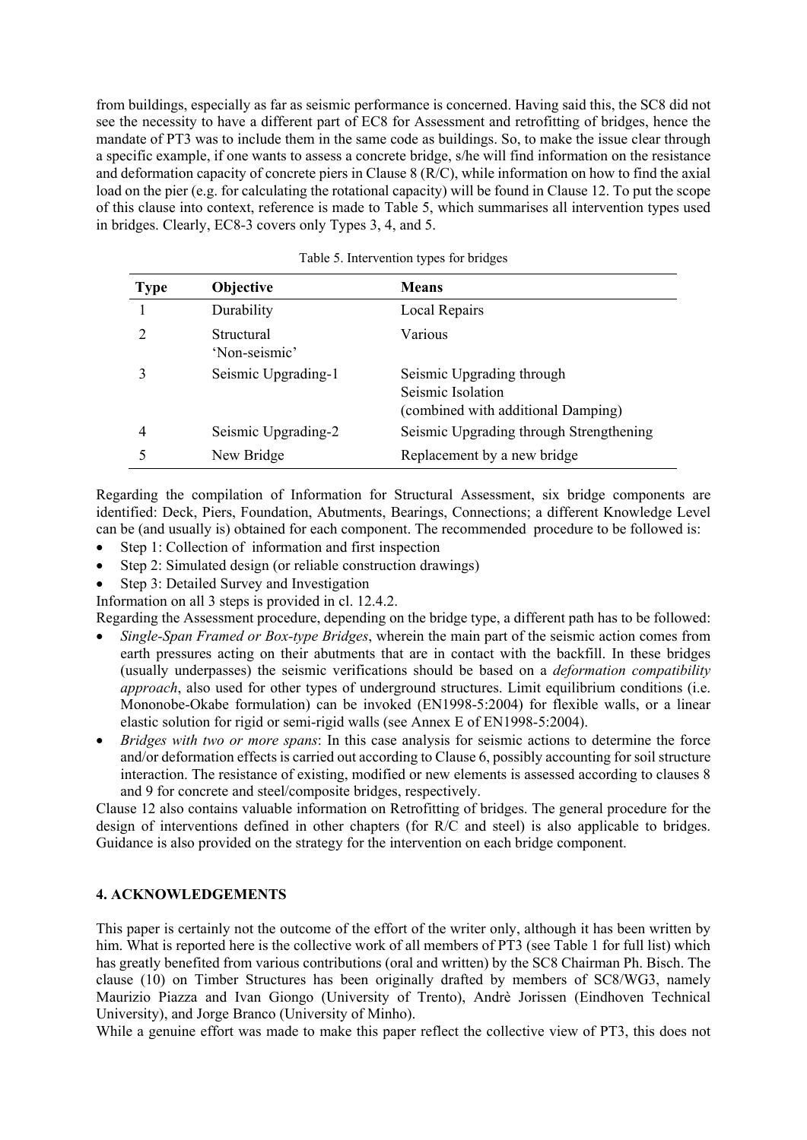from buildings, especially as far as seismic performance is concerned. Having said this, the SC8 did not see the necessity to have a different part of EC8 for Assessment and retrofitting of bridges, hence the mandate of PT3 was to include them in the same code as buildings. So, to make the issue clear through a specific example, if one wants to assess a concrete bridge, s/he will find information on the resistance and deformation capacity of concrete piers in Clause 8 (R/C), while information on how to find the axial load on the pier (e.g. for calculating the rotational capacity) will be found in Clause 12. To put the scope of this clause into context, reference is made to Table 5, which summarises all intervention types used in bridges. Clearly, EC8-3 covers only Types 3, 4, and 5.

| <b>Type</b>   | Objective                   | <b>Means</b>                                                                         |
|---------------|-----------------------------|--------------------------------------------------------------------------------------|
|               | Durability                  | Local Repairs                                                                        |
| $\mathcal{D}$ | Structural<br>'Non-seismic' | Various                                                                              |
|               | Seismic Upgrading-1         | Seismic Upgrading through<br>Seismic Isolation<br>(combined with additional Damping) |
| 4             | Seismic Upgrading-2         | Seismic Upgrading through Strengthening                                              |
|               | New Bridge                  | Replacement by a new bridge                                                          |

Table 5. Intervention types for bridges

Regarding the compilation of Information for Structural Assessment, six bridge components are identified: Deck, Piers, Foundation, Abutments, Bearings, Connections; a different Knowledge Level can be (and usually is) obtained for each component. The recommended procedure to be followed is:

- Step 1: Collection of information and first inspection
- Step 2: Simulated design (or reliable construction drawings)
- Step 3: Detailed Survey and Investigation

Information on all 3 steps is provided in cl. 12.4.2.

Regarding the Assessment procedure, depending on the bridge type, a different path has to be followed:

- *Single-Span Framed or Box-type Bridges*, wherein the main part of the seismic action comes from earth pressures acting on their abutments that are in contact with the backfill. In these bridges (usually underpasses) the seismic verifications should be based on a *deformation compatibility approach*, also used for other types of underground structures. Limit equilibrium conditions (i.e. Mononobe-Okabe formulation) can be invoked (EN1998-5:2004) for flexible walls, or a linear elastic solution for rigid or semi-rigid walls (see Annex E of EN1998-5:2004).
- *Bridges with two or more spans*: In this case analysis for seismic actions to determine the force and/or deformation effects is carried out according to Clause 6, possibly accounting for soil structure interaction. The resistance of existing, modified or new elements is assessed according to clauses 8 and 9 for concrete and steel/composite bridges, respectively.

Clause 12 also contains valuable information on Retrofitting of bridges. The general procedure for the design of interventions defined in other chapters (for R/C and steel) is also applicable to bridges. Guidance is also provided on the strategy for the intervention on each bridge component.

# **4. ACKNOWLEDGEMENTS**

This paper is certainly not the outcome of the effort of the writer only, although it has been written by him. What is reported here is the collective work of all members of PT3 (see Table 1 for full list) which has greatly benefited from various contributions (oral and written) by the SC8 Chairman Ph. Bisch. The clause (10) on Timber Structures has been originally drafted by members of SC8/WG3, namely Maurizio Piazza and Ivan Giongo (University of Trento), Andrè Jorissen (Eindhoven Technical University), and Jorge Branco (University of Minho).

While a genuine effort was made to make this paper reflect the collective view of PT3, this does not